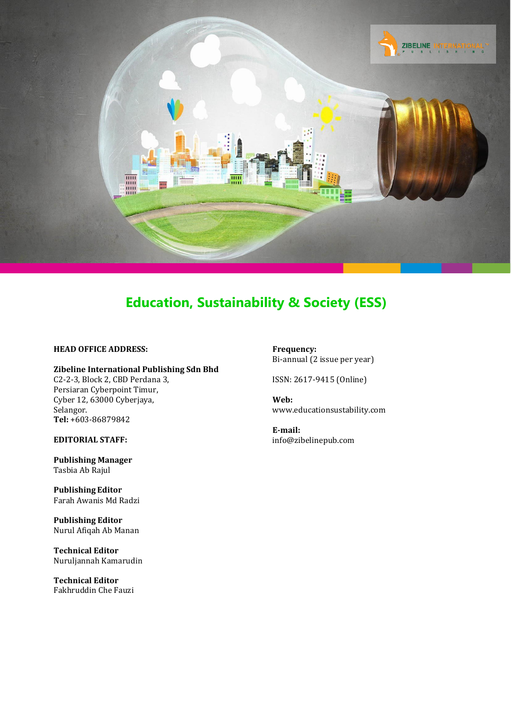

#### **HEAD OFFICE ADDRESS:**

**Zibeline International Publishing Sdn Bhd** C2-2-3, Block 2, CBD Perdana 3, Persiaran Cyberpoint Timur, Cyber 12, 63000 Cyberjaya, Selangor. **Tel:** +603-86879842

**EDITORIAL STAFF:**

**Publishing Manager** Tasbia Ab Rajul

**Publishing Editor** Farah Awanis Md Radzi

**Publishing Editor** Nurul Afiqah Ab Manan

**Technical Editor** Nuruljannah Kamarudin

**Technical Editor** Fakhruddin Che Fauzi **Frequency:** Bi-annual (2 issue per year)

ISSN: 2617-9415 (Online)

**Web:** [www.educationsustability.com](http://www.educationsustability.com/)

**E-mail:** [info@zibelinepub.com](mailto:info@zibelinepub.com)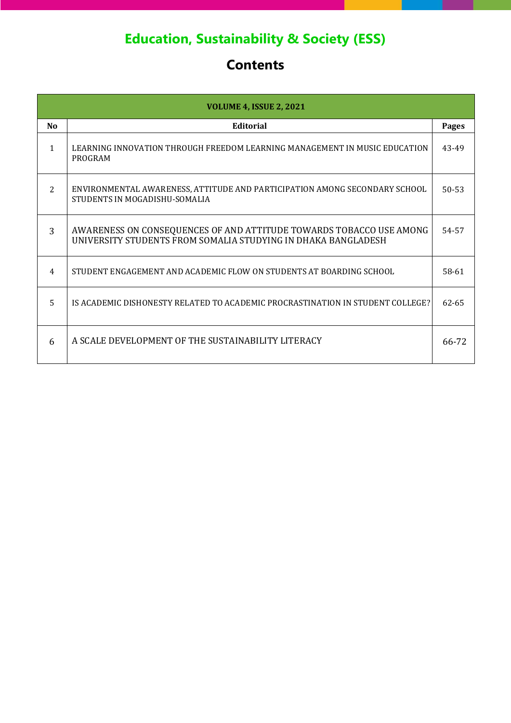# **Contents**

| <b>VOLUME 4, ISSUE 2, 2021</b> |                                                                                                                                      |              |
|--------------------------------|--------------------------------------------------------------------------------------------------------------------------------------|--------------|
| No                             | <b>Editorial</b>                                                                                                                     | <b>Pages</b> |
| $\mathbf{1}$                   | LEARNING INNOVATION THROUGH FREEDOM LEARNING MANAGEMENT IN MUSIC EDUCATION<br>PROGRAM                                                | 43-49        |
| 2                              | ENVIRONMENTAL AWARENESS, ATTITUDE AND PARTICIPATION AMONG SECONDARY SCHOOL<br>STUDENTS IN MOGADISHU-SOMALIA                          | $50 - 53$    |
| 3                              | AWARENESS ON CONSEQUENCES OF AND ATTITUDE TOWARDS TOBACCO USE AMONG<br>UNIVERSITY STUDENTS FROM SOMALIA STUDYING IN DHAKA BANGLADESH | 54-57        |
| 4                              | STUDENT ENGAGEMENT AND ACADEMIC FLOW ON STUDENTS AT BOARDING SCHOOL                                                                  | 58-61        |
| 5                              | IS ACADEMIC DISHONESTY RELATED TO ACADEMIC PROCRASTINATION IN STUDENT COLLEGE?                                                       | 62-65        |
| 6                              | A SCALE DEVELOPMENT OF THE SUSTAINABILITY LITERACY                                                                                   | 66-72        |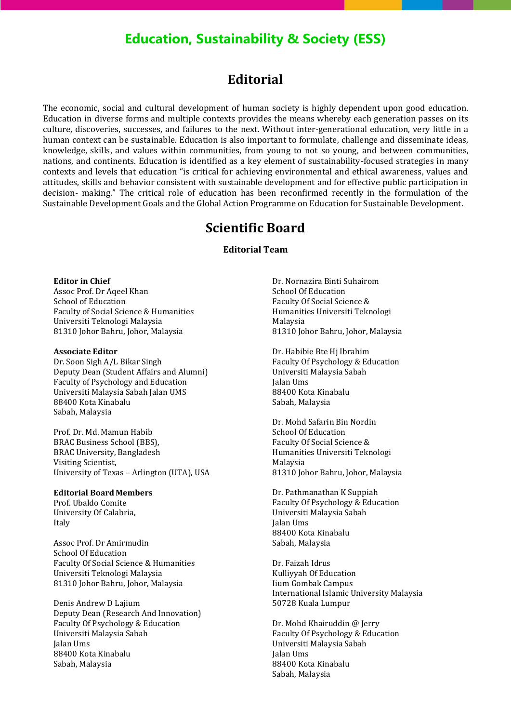### **Editorial**

The economic, social and cultural development of human society is highly dependent upon good education. Education in diverse forms and multiple contexts provides the means whereby each generation passes on its culture, discoveries, successes, and failures to the next. Without inter-generational education, very little in a human context can be sustainable. Education is also important to formulate, challenge and disseminate ideas, knowledge, skills, and values within communities, from young to not so young, and between communities, nations, and continents. Education is identified as a key element of sustainability-focused strategies in many contexts and levels that education "is critical for achieving environmental and ethical awareness, values and attitudes, skills and behavior consistent with sustainable development and for effective public participation in decision- making." The critical role of education has been reconfirmed recently in the formulation of the Sustainable Development Goals and the Global Action Programme on Education for Sustainable Development.

### **Scientific Board**

#### **Editorial Team**

#### **Editor in Chief**

Assoc Prof. Dr Aqeel Khan School of Education Faculty of Social Science & Humanities Universiti Teknologi Malaysia 81310 Johor Bahru, Johor, Malaysia

#### **Associate Editor**

Dr. Soon Sigh A/L Bikar Singh Deputy Dean (Student Affairs and Alumni) Faculty of Psychology and Education Universiti Malaysia Sabah Jalan UMS 88400 Kota Kinabalu Sabah, Malaysia

Prof. Dr. Md. Mamun Habib BRAC Business School (BBS), BRAC University, Bangladesh Visiting Scientist, University of Texas – Arlington (UTA), USA

#### **Editorial Board Members**

Prof. Ubaldo Comite University Of Calabria, Italy

Assoc Prof. Dr Amirmudin School Of Education Faculty Of Social Science & Humanities Universiti Teknologi Malaysia 81310 Johor Bahru, Johor, Malaysia

Denis Andrew D Lajium Deputy Dean (Research And Innovation) Faculty Of Psychology & Education Universiti Malaysia Sabah Jalan Ums 88400 Kota Kinabalu Sabah, Malaysia

Dr. Nornazira Binti Suhairom School Of Education Faculty Of Social Science & Humanities Universiti Teknologi Malaysia 81310 Johor Bahru, Johor, Malaysia

Dr. Habibie Bte Hj Ibrahim Faculty Of Psychology & Education Universiti Malaysia Sabah Jalan Ums 88400 Kota Kinabalu Sabah, Malaysia

Dr. Mohd Safarin Bin Nordin School Of Education Faculty Of Social Science & Humanities Universiti Teknologi Malaysia 81310 Johor Bahru, Johor, Malaysia

Dr. Pathmanathan K Suppiah Faculty Of Psychology & Education Universiti Malaysia Sabah Jalan Ums 88400 Kota Kinabalu Sabah, Malaysia

Dr. Faizah Idrus Kulliyyah Of Education Iium Gombak Campus International Islamic University Malaysia 50728 Kuala Lumpur

Dr. Mohd Khairuddin @ Jerry Faculty Of Psychology & Education Universiti Malaysia Sabah Jalan Ums 88400 Kota Kinabalu Sabah, Malaysia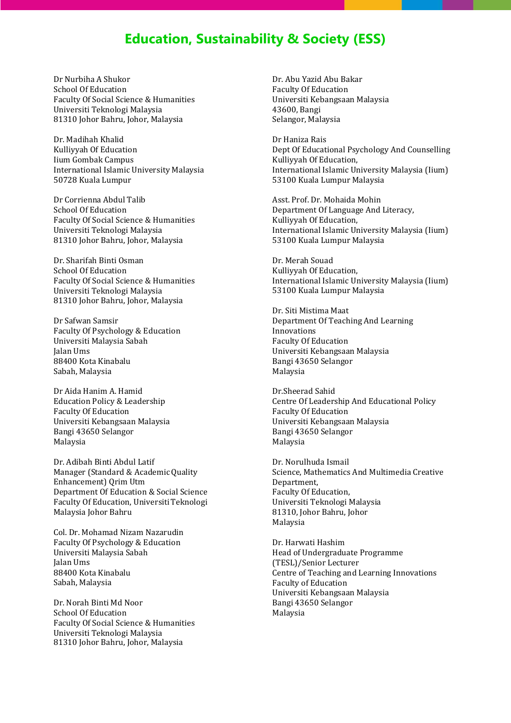Dr Nurbiha A Shukor School Of Education Faculty Of Social Science & Humanities Universiti Teknologi Malaysia 81310 Johor Bahru, Johor, Malaysia

Dr. Madihah Khalid Kulliyyah Of Education Iium Gombak Campus International Islamic University Malaysia 50728 Kuala Lumpur

Dr Corrienna Abdul Talib School Of Education Faculty Of Social Science & Humanities Universiti Teknologi Malaysia 81310 Johor Bahru, Johor, Malaysia

Dr. Sharifah Binti Osman School Of Education Faculty Of Social Science & Humanities Universiti Teknologi Malaysia 81310 Johor Bahru, Johor, Malaysia

Dr Safwan Samsir Faculty Of Psychology & Education Universiti Malaysia Sabah Jalan Ums 88400 Kota Kinabalu Sabah, Malaysia

Dr Aida Hanim A. Hamid Education Policy & Leadership Faculty Of Education Universiti Kebangsaan Malaysia Bangi 43650 Selangor Malaysia

Dr. Adibah Binti Abdul Latif Manager (Standard & AcademicQuality Enhancement) Qrim Utm Department Of Education & Social Science Faculty Of Education, Universiti Teknologi Malaysia Johor Bahru

Col. Dr. Mohamad Nizam Nazarudin Faculty Of Psychology & Education Universiti Malaysia Sabah Jalan Ums 88400 Kota Kinabalu Sabah, Malaysia

Dr. Norah Binti Md Noor School Of Education Faculty Of Social Science & Humanities Universiti Teknologi Malaysia 81310 Johor Bahru, Johor, Malaysia

Dr. Abu Yazid Abu Bakar Faculty Of Education Universiti Kebangsaan Malaysia 43600, Bangi Selangor, Malaysia

Dr Haniza Rais Dept Of Educational Psychology And Counselling Kulliyyah Of Education, International Islamic University Malaysia (Iium) 53100 Kuala Lumpur Malaysia

Asst. Prof. Dr. Mohaida Mohin Department Of Language And Literacy, Kulliyyah Of Education, International Islamic University Malaysia (Iium) 53100 Kuala Lumpur Malaysia

Dr. Merah Souad Kulliyyah Of Education, International Islamic University Malaysia (Iium) 53100 Kuala Lumpur Malaysia

Dr. Siti Mistima Maat Department Of Teaching And Learning Innovations Faculty Of Education Universiti Kebangsaan Malaysia Bangi 43650 Selangor Malaysia

Dr.Sheerad Sahid Centre Of Leadership And Educational Policy Faculty Of Education Universiti Kebangsaan Malaysia Bangi 43650 Selangor Malaysia

Dr. Norulhuda Ismail Science, Mathematics And Multimedia Creative Department, Faculty Of Education, Universiti Teknologi Malaysia 81310, Johor Bahru, Johor Malaysia

Dr. Harwati Hashim Head of Undergraduate Programme (TESL)/Senior Lecturer Centre of Teaching and Learning Innovations Faculty of Education Universiti Kebangsaan Malaysia Bangi 43650 Selangor Malaysia